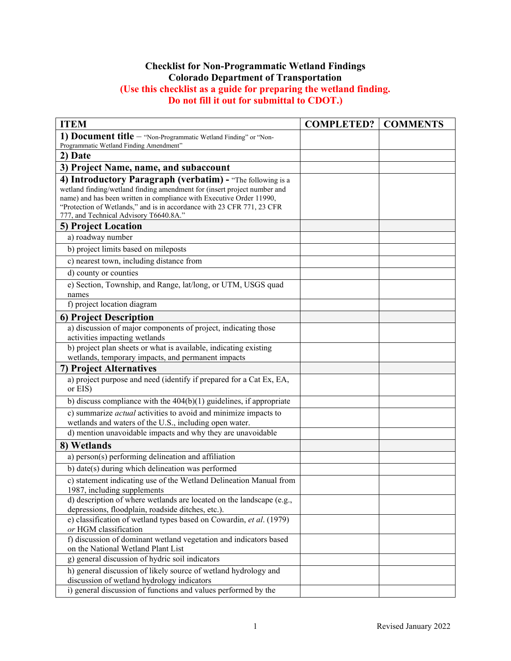## **Checklist for Non-Programmatic Wetland Findings Colorado Department of Transportation (Use this checklist as a guide for preparing the wetland finding. Do not fill it out for submittal to CDOT.)**

| <b>ITEM</b>                                                                                                                                                                                                                                                                                                                        | <b>COMPLETED?</b> | <b>COMMENTS</b> |
|------------------------------------------------------------------------------------------------------------------------------------------------------------------------------------------------------------------------------------------------------------------------------------------------------------------------------------|-------------------|-----------------|
| 1) Document title - "Non-Programmatic Wetland Finding" or "Non-                                                                                                                                                                                                                                                                    |                   |                 |
| Programmatic Wetland Finding Amendment"                                                                                                                                                                                                                                                                                            |                   |                 |
| 2) Date                                                                                                                                                                                                                                                                                                                            |                   |                 |
| 3) Project Name, name, and subaccount                                                                                                                                                                                                                                                                                              |                   |                 |
| 4) Introductory Paragraph (verbatim) - "The following is a<br>wetland finding/wetland finding amendment for (insert project number and<br>name) and has been written in compliance with Executive Order 11990,<br>"Protection of Wetlands," and is in accordance with 23 CFR 771, 23 CFR<br>777, and Technical Advisory T6640.8A." |                   |                 |
| <b>5) Project Location</b>                                                                                                                                                                                                                                                                                                         |                   |                 |
| a) roadway number                                                                                                                                                                                                                                                                                                                  |                   |                 |
| b) project limits based on mileposts                                                                                                                                                                                                                                                                                               |                   |                 |
| c) nearest town, including distance from                                                                                                                                                                                                                                                                                           |                   |                 |
| d) county or counties                                                                                                                                                                                                                                                                                                              |                   |                 |
| e) Section, Township, and Range, lat/long, or UTM, USGS quad<br>names                                                                                                                                                                                                                                                              |                   |                 |
| f) project location diagram                                                                                                                                                                                                                                                                                                        |                   |                 |
| 6) Project Description                                                                                                                                                                                                                                                                                                             |                   |                 |
| a) discussion of major components of project, indicating those<br>activities impacting wetlands                                                                                                                                                                                                                                    |                   |                 |
| b) project plan sheets or what is available, indicating existing                                                                                                                                                                                                                                                                   |                   |                 |
| wetlands, temporary impacts, and permanent impacts                                                                                                                                                                                                                                                                                 |                   |                 |
| 7) Project Alternatives                                                                                                                                                                                                                                                                                                            |                   |                 |
| a) project purpose and need (identify if prepared for a Cat Ex, EA,<br>or EIS)                                                                                                                                                                                                                                                     |                   |                 |
| b) discuss compliance with the $404(b)(1)$ guidelines, if appropriate                                                                                                                                                                                                                                                              |                   |                 |
| c) summarize <i>actual</i> activities to avoid and minimize impacts to<br>wetlands and waters of the U.S., including open water.                                                                                                                                                                                                   |                   |                 |
| d) mention unavoidable impacts and why they are unavoidable                                                                                                                                                                                                                                                                        |                   |                 |
| 8) Wetlands                                                                                                                                                                                                                                                                                                                        |                   |                 |
| a) person(s) performing delineation and affiliation                                                                                                                                                                                                                                                                                |                   |                 |
| b) date(s) during which delineation was performed                                                                                                                                                                                                                                                                                  |                   |                 |
| c) statement indicating use of the Wetland Delineation Manual from<br>1987, including supplements                                                                                                                                                                                                                                  |                   |                 |
| d) description of where wetlands are located on the landscape (e.g.,<br>depressions, floodplain, roadside ditches, etc.).                                                                                                                                                                                                          |                   |                 |
| e) classification of wetland types based on Cowardin, et al. (1979)<br>or HGM classification                                                                                                                                                                                                                                       |                   |                 |
| f) discussion of dominant wetland vegetation and indicators based<br>on the National Wetland Plant List                                                                                                                                                                                                                            |                   |                 |
| g) general discussion of hydric soil indicators                                                                                                                                                                                                                                                                                    |                   |                 |
| h) general discussion of likely source of wetland hydrology and<br>discussion of wetland hydrology indicators                                                                                                                                                                                                                      |                   |                 |
| i) general discussion of functions and values performed by the                                                                                                                                                                                                                                                                     |                   |                 |